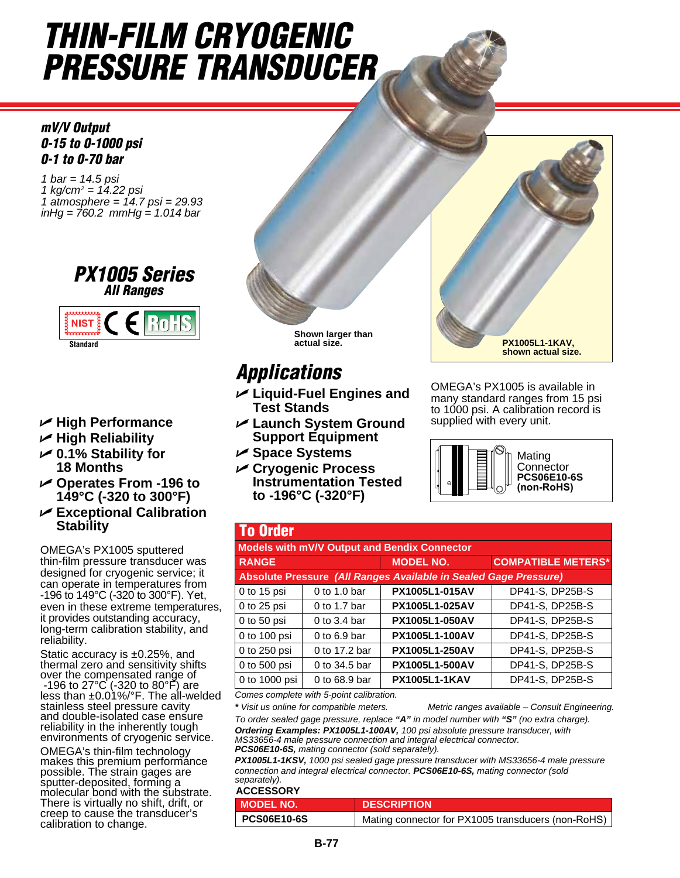## *THIN-FILM CRYOGENIC PRESSURE TRANSDUCER*

*mV/V Output 0-15 to 0-1000 psi 0-1 to 0-70 bar*

*1 bar = 14.5 psi 1 kg/cm2 = 14.22 psi 1 atmosphere = 14.7 psi = 29.93 inHg = 760.2 mmHg = 1.014 bar*





- U **High Performance**
- U **High Reliability**
- U **0.1% Stability for 18 Months**
- U **Operates From -196 to 149°C (-320 to 300°F)**
- U **Exceptional Calibration Stability**

OMEGA's PX1005 sputtered thin-film pressure transducer was designed for cryogenic service; it can operate in temperatures from -196 to 149°C (-320 to 300°F). Yet, even in these extreme temperatures, it provides outstanding accuracy, long-term calibration stability, and reliability.

Static accuracy is ±0.25%, and thermal zero and sensitivity shifts over the compensated range of -196 to 27°C (-320 to 80°F) are less than ±0.01%/°F. The all-welded stainless steel pressure cavity and double-isolated case ensure reliability in the inherently tough environments of cryogenic service.

OMEGA's thin-film technology makes this premium performance possible. The strain gages are sputter-deposited, forming a molecular bond with the substrate. There is virtually no shift, drift, or creep to cause the transducer's calibration to change.



## *Applications*

- U **Liquid-Fuel Engines and Test Stands**
- U **Launch System Ground Support Equipment**
- U **Space Systems**
- U **Cryogenic Process Instrumentation Tested to -196°C (-320°F)**



OMEGA's PX1005 is available in many standard ranges from 15 psi to 1000 psi. A calibration record is supplied with every unit.



| <b>To Order</b>                                                  |                 |                       |                           |  |  |
|------------------------------------------------------------------|-----------------|-----------------------|---------------------------|--|--|
| Models with mV/V Output and Bendix Connector                     |                 |                       |                           |  |  |
| <b>RANGE</b>                                                     |                 | <b>MODEL NO.</b>      | <b>COMPATIBLE METERS*</b> |  |  |
| Absolute Pressure (All Ranges Available in Sealed Gage Pressure) |                 |                       |                           |  |  |
| 0 to $15$ psi                                                    | 0 to 1.0 bar    | PX1005L1-015AV        | DP41-S, DP25B-S           |  |  |
| $0$ to 25 psi                                                    | 0 to 1.7 bar    | PX1005L1-025AV        | DP41-S, DP25B-S           |  |  |
| $0$ to 50 psi                                                    | 0 to 3.4 bar    | <b>PX1005L1-050AV</b> | DP41-S, DP25B-S           |  |  |
| 0 to 100 psi                                                     | $0$ to 6.9 bar  | PX1005L1-100AV        | DP41-S, DP25B-S           |  |  |
| 0 to 250 psi                                                     | 0 to 17.2 bar   | PX1005L1-250AV        | DP41-S, DP25B-S           |  |  |
| 0 to 500 psi                                                     | 0 to 34.5 bar   | PX1005L1-500AV        | DP41-S, DP25B-S           |  |  |
| 0 to 1000 psi                                                    | $0$ to 68.9 bar | <b>PX1005L1-1KAV</b>  | DP41-S, DP25B-S           |  |  |
| Comeo complete with E noint onliberation                         |                 |                       |                           |  |  |

*Comes complete with 5-point calibration.*

*\* Visit us online for compatible meters. Metric ranges available – Consult Engineering.*

*To order sealed gage pressure, replace "A" in model number with "S" (no extra charge). Ordering Examples: PX1005L1-100AV, 100 psi absolute pressure transducer, with MS33656-4 male pressure connection and integral electrical connector. PCS06E10-6S, mating connector (sold separately).* 

*PX1005L1-1KSV, 1000 psi sealed gage pressure transducer with MS33656-4 male pressure connection and integral electrical connector. PCS06E10-6S, mating connector (sold separately).*

|  |  | <b>ACCESSORY</b> |  |
|--|--|------------------|--|
|--|--|------------------|--|

| I MODEL NO.        | <b>DESCRIPTION</b>                                 |  |
|--------------------|----------------------------------------------------|--|
| <b>PCS06E10-6S</b> | Mating connector for PX1005 transducers (non-RoHS) |  |